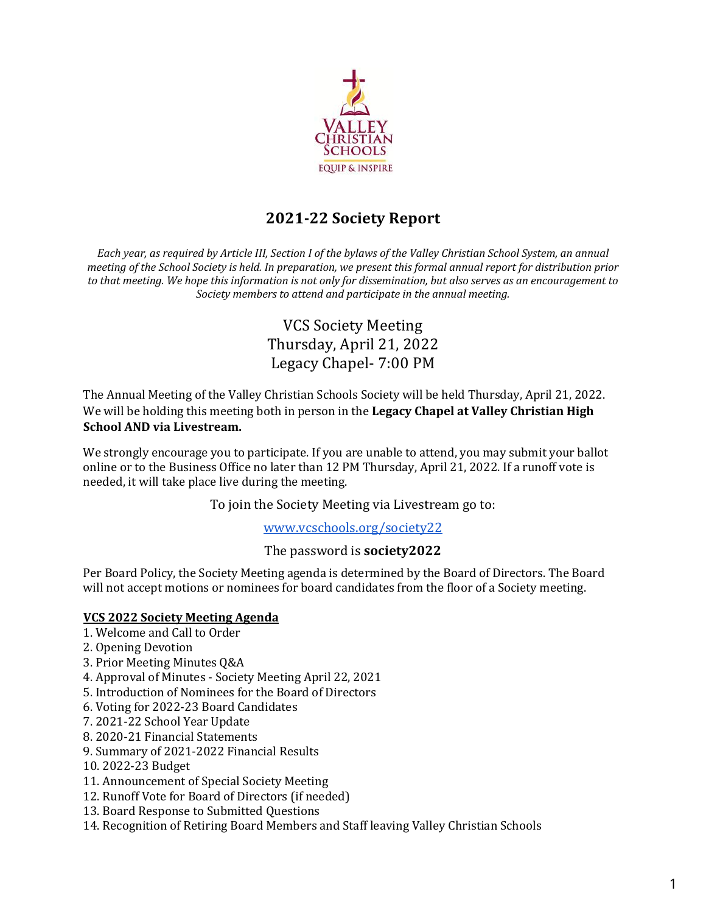

# **2021-22 Society Report**

*Each year, as required by Article III, Section I of the bylaws of the Valley Christian School System, an annual meeting* of the School Society is held. In preparation, we present this formal annual report for distribution prior to that meeting. We hope this information is not only for dissemination, but also serves as an encouragement to Society members to attend and participate in the annual meeting.

# VCS Society Meeting Thursday, April 21, 2022 Legacy Chapel- 7:00 PM

The Annual Meeting of the Valley Christian Schools Society will be held Thursday, April 21, 2022. We will be holding this meeting both in person in the **Legacy Chapel at Valley Christian High School AND via Livestream.** 

We strongly encourage you to participate. If you are unable to attend, you may submit your ballot online or to the Business Office no later than 12 PM Thursday, April 21, 2022. If a runoff vote is needed, it will take place live during the meeting.

To join the Society Meeting via Livestream go to:

### www.vcschools.org/society22

### The password is **society2022**

Per Board Policy, the Society Meeting agenda is determined by the Board of Directors. The Board will not accept motions or nominees for board candidates from the floor of a Society meeting.

### **VCS 2022 Society Meeting Agenda**

- 1. Welcome and Call to Order
- 2. Opening Devotion
- 3. Prior Meeting Minutes Q&A
- 4. Approval of Minutes Society Meeting April 22, 2021
- 5. Introduction of Nominees for the Board of Directors
- 6. Voting for 2022-23 Board Candidates
- 7. 2021-22 School Year Update
- 8. 2020-21 Financial Statements
- 9. Summary of 2021-2022 Financial Results
- 10. 2022-23 Budget
- 11. Announcement of Special Society Meeting
- 12. Runoff Vote for Board of Directors (if needed)
- 13. Board Response to Submitted Questions
- 14. Recognition of Retiring Board Members and Staff leaving Valley Christian Schools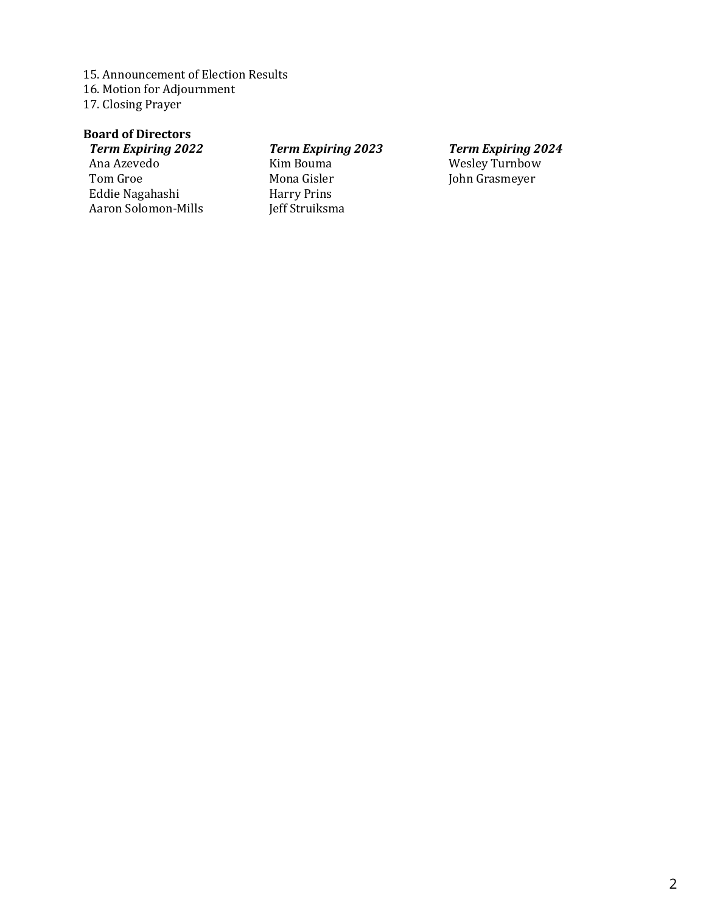15. Announcement of Election Results 16. Motion for Adjournment 17. Closing Prayer

# **Board of Directors**

*Term Expiring 2022* Ana Azevedo Tom Groe Eddie Nagahashi Aaron Solomon-Mills

# *Term Expiring 2023*

Kim Bouma Mona Gisler Harry Prins Jeff Struiksma

*Term Expiring 2024* Wesley Turnbow John Grasmeyer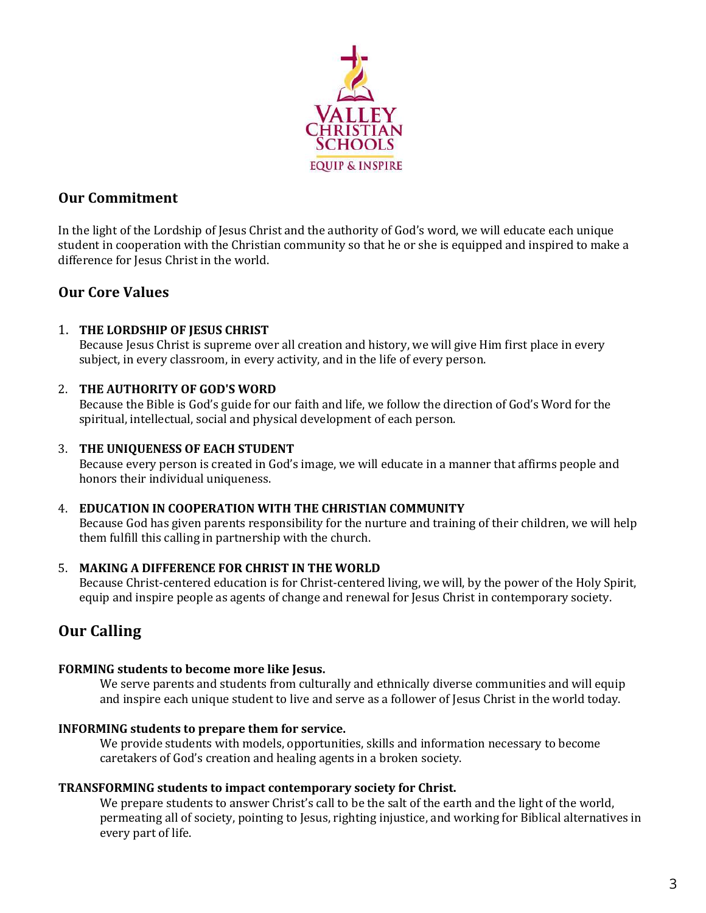

# **Our Commitment**

In the light of the Lordship of Jesus Christ and the authority of God's word, we will educate each unique student in cooperation with the Christian community so that he or she is equipped and inspired to make a difference for Jesus Christ in the world.

# **Our Core Values**

## 1. THE LORDSHIP OF JESUS CHRIST

Because Jesus Christ is supreme over all creation and history, we will give Him first place in every subject, in every classroom, in every activity, and in the life of every person.

## 2. **THE AUTHORITY OF GOD'S WORD**

Because the Bible is God's guide for our faith and life, we follow the direction of God's Word for the spiritual, intellectual, social and physical development of each person.

### **3. THE UNIQUENESS OF EACH STUDENT**

Because every person is created in God's image, we will educate in a manner that affirms people and honors their individual uniqueness.

### 4. **EDUCATION IN COOPERATION WITH THE CHRISTIAN COMMUNITY**

Because God has given parents responsibility for the nurture and training of their children, we will help them fulfill this calling in partnership with the church.

### 5. **MAKING A DIFFERENCE FOR CHRIST IN THE WORLD**

Because Christ-centered education is for Christ-centered living, we will, by the power of the Holy Spirit, equip and inspire people as agents of change and renewal for Jesus Christ in contemporary society.

# **Our Calling**

### FORMING students to become more like Jesus.

We serve parents and students from culturally and ethnically diverse communities and will equip and inspire each unique student to live and serve as a follower of Jesus Christ in the world today.

### **INFORMING** students to prepare them for service.

We provide students with models, opportunities, skills and information necessary to become caretakers of God's creation and healing agents in a broken society.

### **TRANSFORMING students to impact contemporary society for Christ.**

We prepare students to answer Christ's call to be the salt of the earth and the light of the world, permeating all of society, pointing to Jesus, righting injustice, and working for Biblical alternatives in every part of life.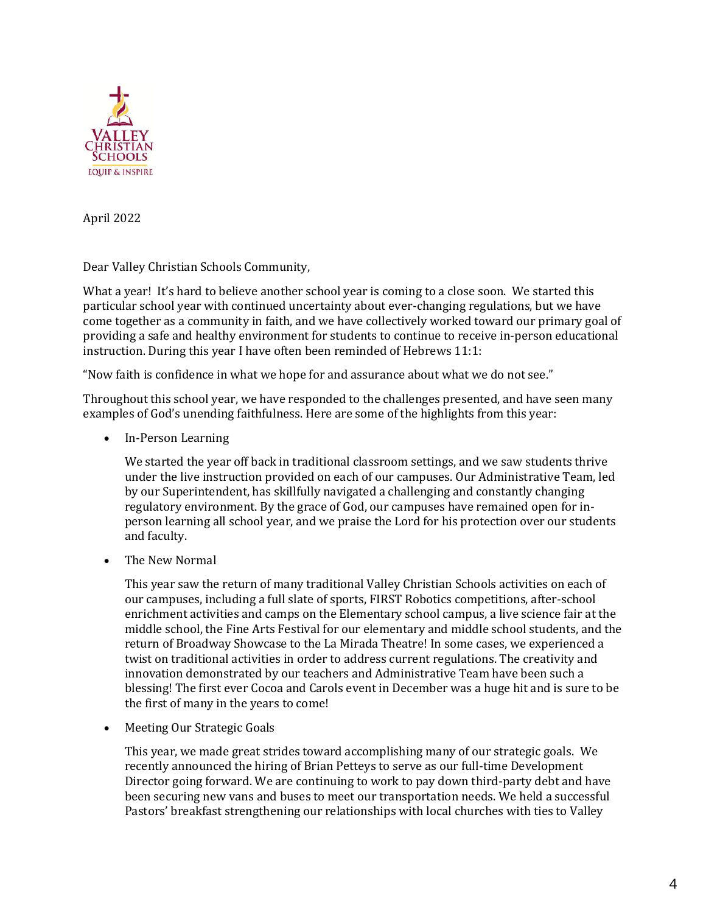

April 2022

Dear Valley Christian Schools Community,

What a year! It's hard to believe another school year is coming to a close soon. We started this particular school year with continued uncertainty about ever-changing regulations, but we have come together as a community in faith, and we have collectively worked toward our primary goal of providing a safe and healthy environment for students to continue to receive in-person educational instruction. During this year I have often been reminded of Hebrews  $11:1$ :

"Now faith is confidence in what we hope for and assurance about what we do not see."

Throughout this school year, we have responded to the challenges presented, and have seen many examples of God's unending faithfulness. Here are some of the highlights from this year:

• In-Person Learning

We started the year off back in traditional classroom settings, and we saw students thrive under the live instruction provided on each of our campuses. Our Administrative Team, led by our Superintendent, has skillfully navigated a challenging and constantly changing regulatory environment. By the grace of God, our campuses have remained open for inperson learning all school year, and we praise the Lord for his protection over our students and faculty.

The New Normal

This year saw the return of many traditional Valley Christian Schools activities on each of our campuses, including a full slate of sports, FIRST Robotics competitions, after-school enrichment activities and camps on the Elementary school campus, a live science fair at the middle school, the Fine Arts Festival for our elementary and middle school students, and the return of Broadway Showcase to the La Mirada Theatre! In some cases, we experienced a twist on traditional activities in order to address current regulations. The creativity and innovation demonstrated by our teachers and Administrative Team have been such a blessing! The first ever Cocoa and Carols event in December was a huge hit and is sure to be the first of many in the years to come!

• Meeting Our Strategic Goals

This year, we made great strides toward accomplishing many of our strategic goals. We recently announced the hiring of Brian Petteys to serve as our full-time Development Director going forward. We are continuing to work to pay down third-party debt and have been securing new vans and buses to meet our transportation needs. We held a successful Pastors' breakfast strengthening our relationships with local churches with ties to Valley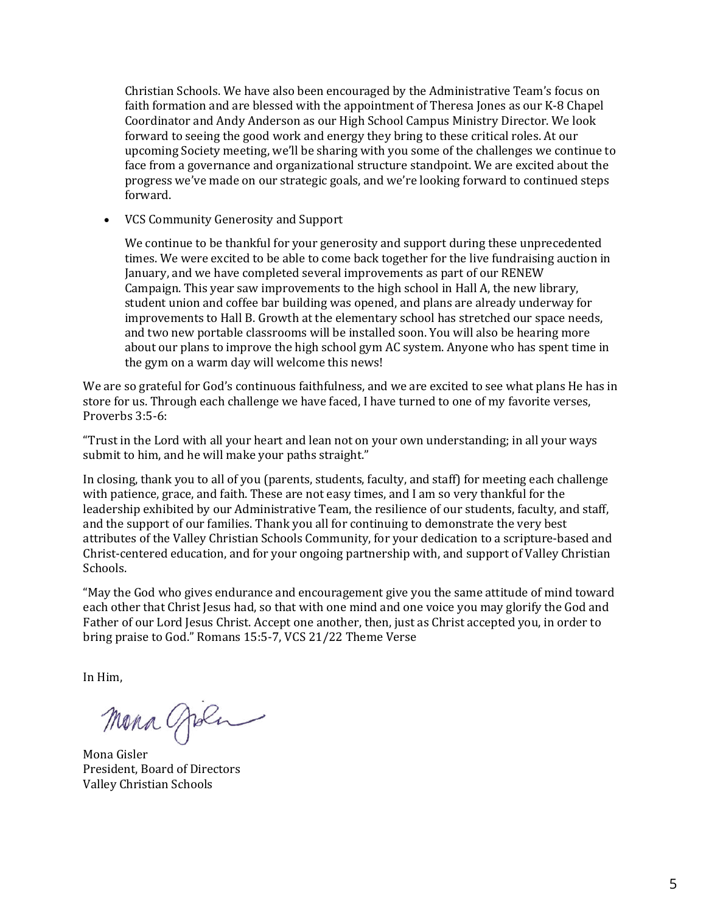Christian Schools. We have also been encouraged by the Administrative Team's focus on faith formation and are blessed with the appointment of Theresa Jones as our K-8 Chapel Coordinator and Andy Anderson as our High School Campus Ministry Director. We look forward to seeing the good work and energy they bring to these critical roles. At our upcoming Society meeting, we'll be sharing with you some of the challenges we continue to face from a governance and organizational structure standpoint. We are excited about the progress we've made on our strategic goals, and we're looking forward to continued steps forward.

• VCS Community Generosity and Support

We continue to be thankful for your generosity and support during these unprecedented times. We were excited to be able to come back together for the live fundraising auction in January, and we have completed several improvements as part of our RENEW Campaign. This year saw improvements to the high school in Hall A, the new library, student union and coffee bar building was opened, and plans are already underway for improvements to Hall B. Growth at the elementary school has stretched our space needs, and two new portable classrooms will be installed soon. You will also be hearing more about our plans to improve the high school gym AC system. Anyone who has spent time in the gym on a warm day will welcome this news!

We are so grateful for God's continuous faithfulness, and we are excited to see what plans He has in store for us. Through each challenge we have faced, I have turned to one of my favorite verses, Proverbs 3:5-6:

"Trust in the Lord with all your heart and lean not on your own understanding; in all your ways submit to him, and he will make your paths straight."

In closing, thank you to all of you (parents, students, faculty, and staff) for meeting each challenge with patience, grace, and faith. These are not easy times, and I am so very thankful for the leadership exhibited by our Administrative Team, the resilience of our students, faculty, and staff, and the support of our families. Thank you all for continuing to demonstrate the very best attributes of the Valley Christian Schools Community, for your dedication to a scripture-based and Christ-centered education, and for your ongoing partnership with, and support of Valley Christian Schools. 

"May the God who gives endurance and encouragement give you the same attitude of mind toward each other that Christ Jesus had, so that with one mind and one voice you may glorify the God and Father of our Lord Jesus Christ. Accept one another, then, just as Christ accepted you, in order to bring praise to God." Romans 15:5-7, VCS 21/22 Theme Verse

In Him.

Mona gola

Mona Gisler President, Board of Directors Valley Christian Schools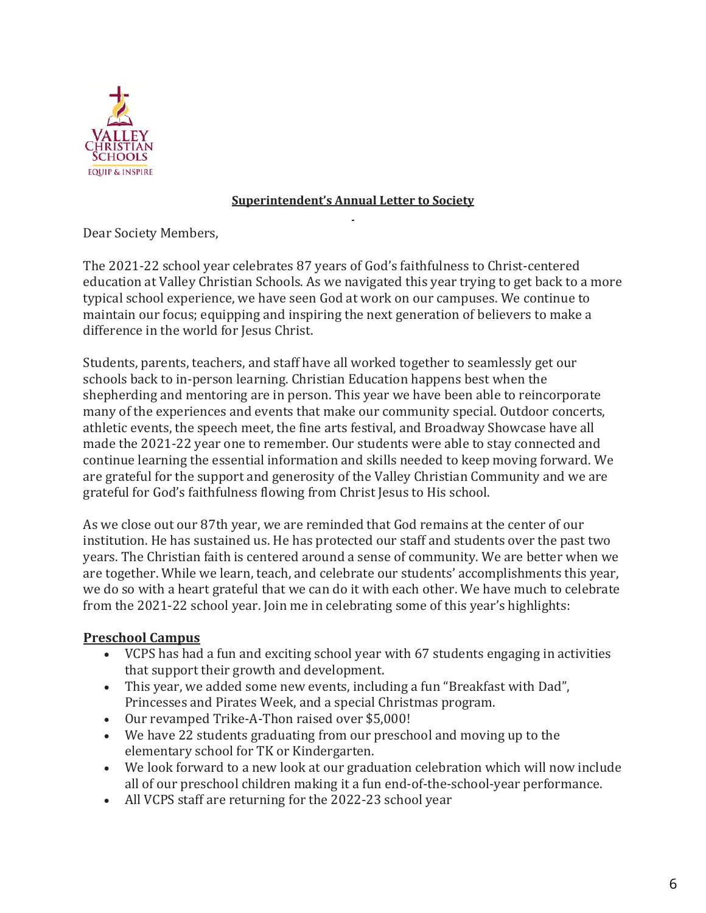

# **Superintendent's Annual Letter to Society**

Dear Society Members,

The 2021-22 school year celebrates 87 years of God's faithfulness to Christ-centered education at Valley Christian Schools. As we navigated this year trying to get back to a more typical school experience, we have seen God at work on our campuses. We continue to maintain our focus; equipping and inspiring the next generation of believers to make a difference in the world for Jesus Christ.

Students, parents, teachers, and staff have all worked together to seamlessly get our schools back to in-person learning. Christian Education happens best when the shepherding and mentoring are in person. This year we have been able to reincorporate many of the experiences and events that make our community special. Outdoor concerts, athletic events, the speech meet, the fine arts festival, and Broadway Showcase have all made the 2021-22 year one to remember. Our students were able to stay connected and continue learning the essential information and skills needed to keep moving forward. We are grateful for the support and generosity of the Valley Christian Community and we are grateful for God's faithfulness flowing from Christ Jesus to His school.

As we close out our 87th year, we are reminded that God remains at the center of our institution. He has sustained us. He has protected our staff and students over the past two years. The Christian faith is centered around a sense of community. We are better when we are together. While we learn, teach, and celebrate our students' accomplishments this year, we do so with a heart grateful that we can do it with each other. We have much to celebrate from the 2021-22 school year. Join me in celebrating some of this year's highlights:

# **Preschool Campus**

- VCPS has had a fun and exciting school year with 67 students engaging in activities that support their growth and development.
- This year, we added some new events, including a fun "Breakfast with Dad", Princesses and Pirates Week, and a special Christmas program.
- Our revamped Trike-A-Thon raised over \$5,000!
- We have 22 students graduating from our preschool and moving up to the elementary school for TK or Kindergarten.
- We look forward to a new look at our graduation celebration which will now include all of our preschool children making it a fun end-of-the-school-year performance.
- All VCPS staff are returning for the 2022-23 school year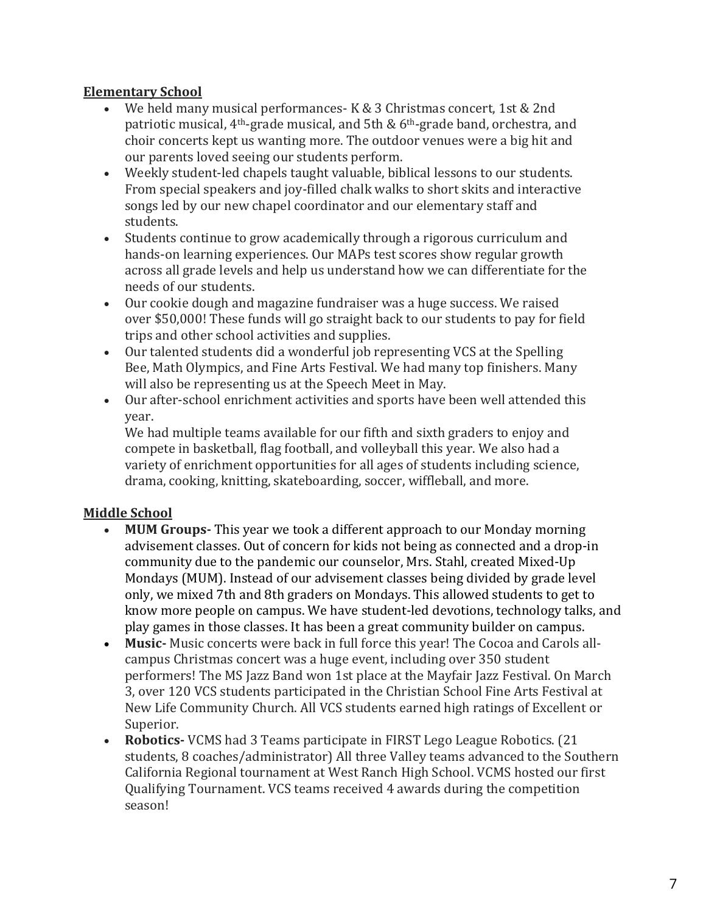# **Elementary School**

- We held many musical performances- K & 3 Christmas concert, 1st & 2nd patriotic musical,  $4<sup>th</sup>$ -grade musical, and 5th & 6<sup>th</sup>-grade band, orchestra, and choir concerts kept us wanting more. The outdoor venues were a big hit and our parents loved seeing our students perform.
- Weekly student-led chapels taught valuable, biblical lessons to our students. From special speakers and joy-filled chalk walks to short skits and interactive songs led by our new chapel coordinator and our elementary staff and students.
- Students continue to grow academically through a rigorous curriculum and hands-on learning experiences. Our MAPs test scores show regular growth across all grade levels and help us understand how we can differentiate for the needs of our students.
- Our cookie dough and magazine fundraiser was a huge success. We raised over \$50,000! These funds will go straight back to our students to pay for field trips and other school activities and supplies.
- Our talented students did a wonderful job representing VCS at the Spelling Bee, Math Olympics, and Fine Arts Festival. We had many top finishers. Many will also be representing us at the Speech Meet in May.
- Our after-school enrichment activities and sports have been well attended this year.

We had multiple teams available for our fifth and sixth graders to enjoy and compete in basketball, flag football, and volleyball this year. We also had a variety of enrichment opportunities for all ages of students including science, drama, cooking, knitting, skateboarding, soccer, wiffleball, and more.

# **Middle School**

- **MUM Groups** This year we took a different approach to our Monday morning advisement classes. Out of concern for kids not being as connected and a drop-in community due to the pandemic our counselor, Mrs. Stahl, created Mixed-Up Mondays (MUM). Instead of our advisement classes being divided by grade level only, we mixed 7th and 8th graders on Mondays. This allowed students to get to know more people on campus. We have student-led devotions, technology talks, and play games in those classes. It has been a great community builder on campus.
- **Music** Music concerts were back in full force this year! The Cocoa and Carols allcampus Christmas concert was a huge event, including over 350 student performers! The MS Jazz Band won 1st place at the Mayfair Jazz Festival. On March 3, over 120 VCS students participated in the Christian School Fine Arts Festival at New Life Community Church. All VCS students earned high ratings of Excellent or Superior.
- **Robotics** VCMS had 3 Teams participate in FIRST Lego League Robotics. (21) students, 8 coaches/administrator) All three Valley teams advanced to the Southern California Regional tournament at West Ranch High School. VCMS hosted our first Qualifying Tournament. VCS teams received 4 awards during the competition season!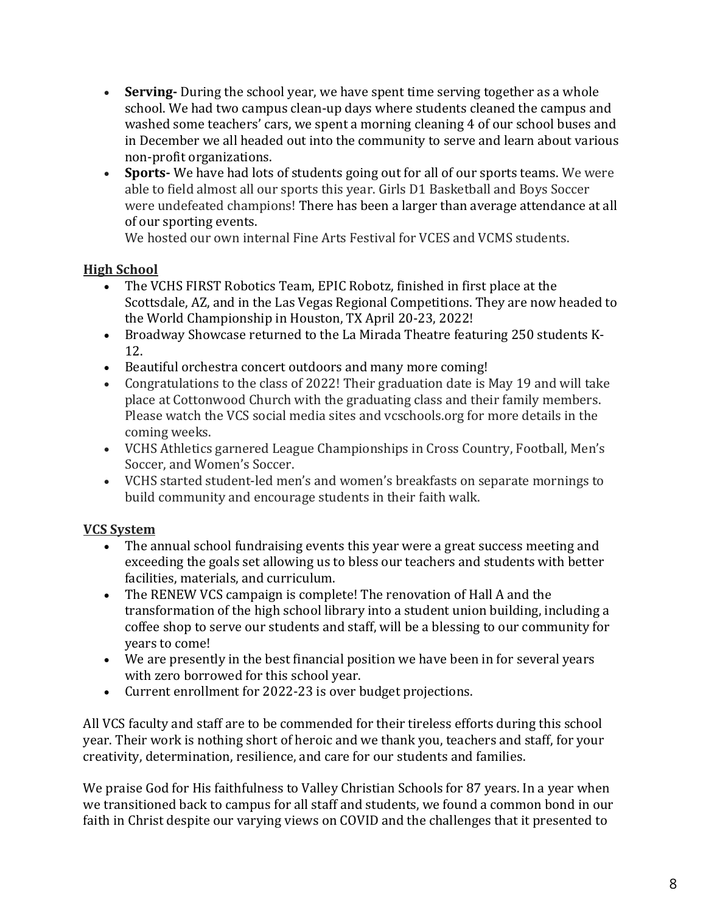- **Serving** During the school year, we have spent time serving together as a whole school. We had two campus clean-up days where students cleaned the campus and washed some teachers' cars, we spent a morning cleaning 4 of our school buses and in December we all headed out into the community to serve and learn about various non-profit organizations.
- **Sports-** We have had lots of students going out for all of our sports teams. We were able to field almost all our sports this year. Girls D1 Basketball and Boys Soccer were undefeated champions! There has been a larger than average attendance at all of our sporting events.

We hosted our own internal Fine Arts Festival for VCES and VCMS students.

# **High School**

- The VCHS FIRST Robotics Team, EPIC Robotz, finished in first place at the Scottsdale, AZ, and in the Las Vegas Regional Competitions. They are now headed to the World Championship in Houston, TX April 20-23, 2022!
- Broadway Showcase returned to the La Mirada Theatre featuring 250 students K-12.
- Beautiful orchestra concert outdoors and many more coming!
- Congratulations to the class of 2022! Their graduation date is May 19 and will take place at Cottonwood Church with the graduating class and their family members. Please watch the VCS social media sites and vcschools.org for more details in the coming weeks.
- VCHS Athletics garnered League Championships in Cross Country, Football, Men's Soccer, and Women's Soccer.
- VCHS started student-led men's and women's breakfasts on separate mornings to build community and encourage students in their faith walk.

# **VCS System**

- The annual school fundraising events this year were a great success meeting and exceeding the goals set allowing us to bless our teachers and students with better facilities, materials, and curriculum.
- The RENEW VCS campaign is complete! The renovation of Hall A and the transformation of the high school library into a student union building, including a coffee shop to serve our students and staff, will be a blessing to our community for years to come!
- We are presently in the best financial position we have been in for several years with zero borrowed for this school year.
- Current enrollment for 2022-23 is over budget projections.

All VCS faculty and staff are to be commended for their tireless efforts during this school year. Their work is nothing short of heroic and we thank you, teachers and staff, for your creativity, determination, resilience, and care for our students and families.

We praise God for His faithfulness to Valley Christian Schools for 87 years. In a year when we transitioned back to campus for all staff and students, we found a common bond in our faith in Christ despite our varying views on COVID and the challenges that it presented to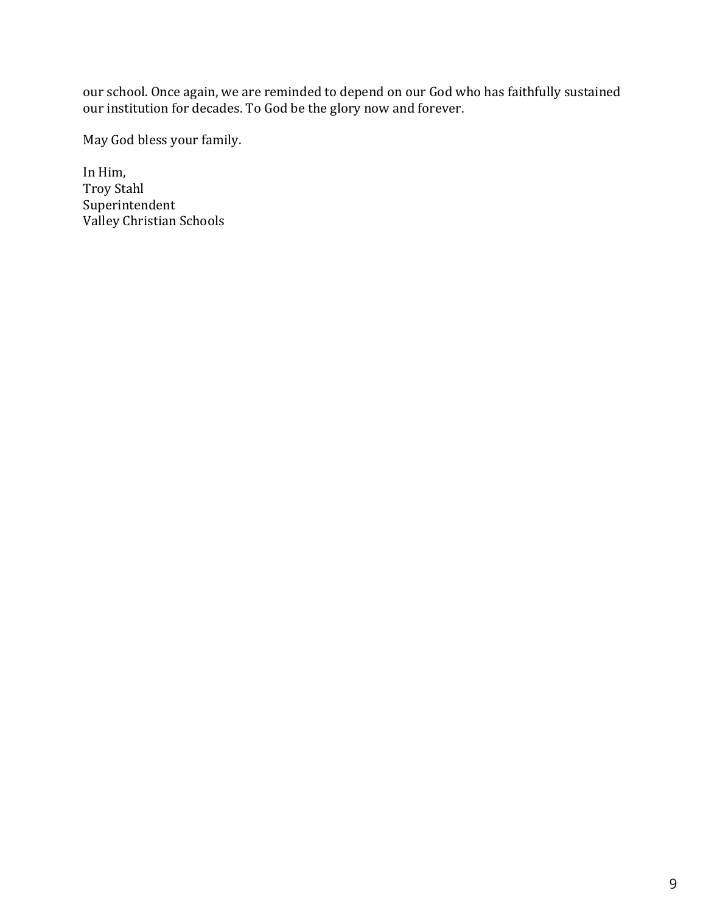our school. Once again, we are reminded to depend on our God who has faithfully sustained our institution for decades. To God be the glory now and forever.

May God bless your family.

In Him, Troy Stahl Superintendent Valley Christian Schools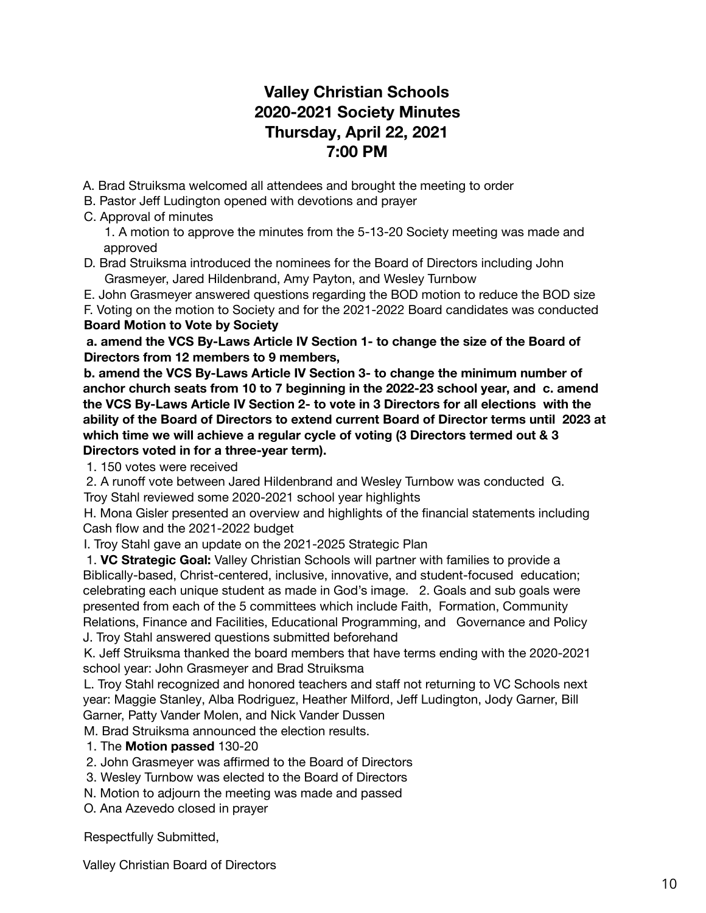# **Valley Christian Schools 2020-2021 Society Minutes Thursday, April 22, 2021 7:00 PM**

- A. Brad Struiksma welcomed all attendees and brought the meeting to order
- B. Pastor Jeff Ludington opened with devotions and prayer
- C. Approval of minutes

1. A motion to approve the minutes from the 5-13-20 Society meeting was made and approved

D. Brad Struiksma introduced the nominees for the Board of Directors including John Grasmeyer, Jared Hildenbrand, Amy Payton, and Wesley Turnbow

E. John Grasmeyer answered questions regarding the BOD motion to reduce the BOD size

F. Voting on the motion to Society and for the 2021-2022 Board candidates was conducted **Board Motion to Vote by Society**

**a. amend the VCS By-Laws Article IV Section 1- to change the size of the Board of Directors from 12 members to 9 members,**

**b. amend the VCS By-Laws Article IV Section 3- to change the minimum number of anchor church seats from 10 to 7 beginning in the 2022-23 school year, and c. amend the VCS By-Laws Article IV Section 2- to vote in 3 Directors for all elections with the ability of the Board of Directors to extend current Board of Director terms until 2023 at which time we will achieve a regular cycle of voting (3 Directors termed out & 3 Directors voted in for a three-year term).**

1. 150 votes were received

2. A runoff vote between Jared Hildenbrand and Wesley Turnbow was conducted G. Troy Stahl reviewed some 2020-2021 school year highlights

H. Mona Gisler presented an overview and highlights of the financial statements including Cash flow and the 2021-2022 budget

I. Troy Stahl gave an update on the 2021-2025 Strategic Plan

1. **VC Strategic Goal:** Valley Christian Schools will partner with families to provide a Biblically-based, Christ-centered, inclusive, innovative, and student-focused education; celebrating each unique student as made in God's image. 2. Goals and sub goals were presented from each of the 5 committees which include Faith, Formation, Community Relations, Finance and Facilities, Educational Programming, and Governance and Policy J. Troy Stahl answered questions submitted beforehand

K. Jeff Struiksma thanked the board members that have terms ending with the 2020-2021 school year: John Grasmeyer and Brad Struiksma

L. Troy Stahl recognized and honored teachers and staff not returning to VC Schools next year: Maggie Stanley, Alba Rodriguez, Heather Milford, Jeff Ludington, Jody Garner, Bill Garner, Patty Vander Molen, and Nick Vander Dussen

M. Brad Struiksma announced the election results.

- 1. The **Motion passed** 130-20
- 2. John Grasmeyer was affirmed to the Board of Directors
- 3. Wesley Turnbow was elected to the Board of Directors
- N. Motion to adjourn the meeting was made and passed
- O. Ana Azevedo closed in prayer

Respectfully Submitted,

Valley Christian Board of Directors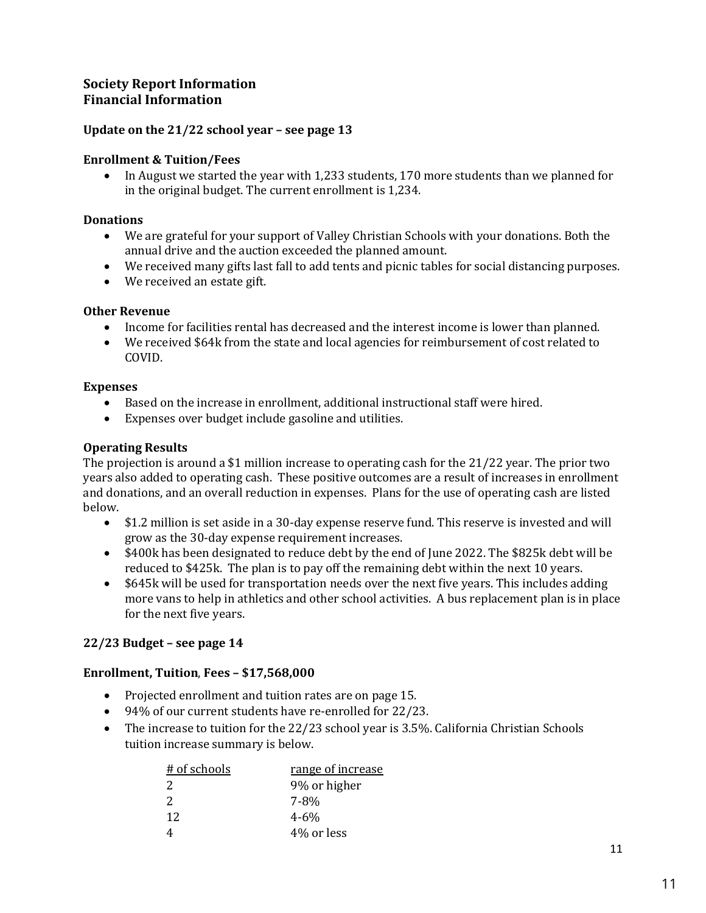# **Society Report Information Financial Information**

### **Update on the 21/22 school year – see page 13**

### **Enrollment & Tuition/Fees**

• In August we started the year with 1,233 students, 170 more students than we planned for in the original budget. The current enrollment is 1,234.

### **Donations**

- We are grateful for your support of Valley Christian Schools with your donations. Both the annual drive and the auction exceeded the planned amount.
- We received many gifts last fall to add tents and picnic tables for social distancing purposes.
- We received an estate gift.

### **Other Revenue**

- Income for facilities rental has decreased and the interest income is lower than planned.
- We received \$64k from the state and local agencies for reimbursement of cost related to COVID.

### **Expenses**

- Based on the increase in enrollment, additional instructional staff were hired.
- Expenses over budget include gasoline and utilities.

### **Operating Results**

The projection is around a \$1 million increase to operating cash for the  $21/22$  year. The prior two years also added to operating cash. These positive outcomes are a result of increases in enrollment and donations, and an overall reduction in expenses. Plans for the use of operating cash are listed below.

- \$1.2 million is set aside in a 30-day expense reserve fund. This reserve is invested and will grow as the 30-day expense requirement increases.
- \$400k has been designated to reduce debt by the end of lune 2022. The \$825k debt will be reduced to  $$425k$ . The plan is to pay off the remaining debt within the next 10 years.
- \$645k will be used for transportation needs over the next five years. This includes adding more vans to help in athletics and other school activities. A bus replacement plan is in place for the next five years.

### **22/23 Budget – see page 14**

### **Enrollment, Tuition**, **Fees – \$17,568,000**

- Projected enrollment and tuition rates are on page 15.
- 94% of our current students have re-enrolled for 22/23.
- The increase to tuition for the  $22/23$  school year is 3.5%. California Christian Schools tuition increase summary is below.

| # of schools | range of increase |
|--------------|-------------------|
| -2           | 9% or higher      |
| 2            | 7-8%              |
| 12           | $4 - 6\%$         |
|              | 4\% or less       |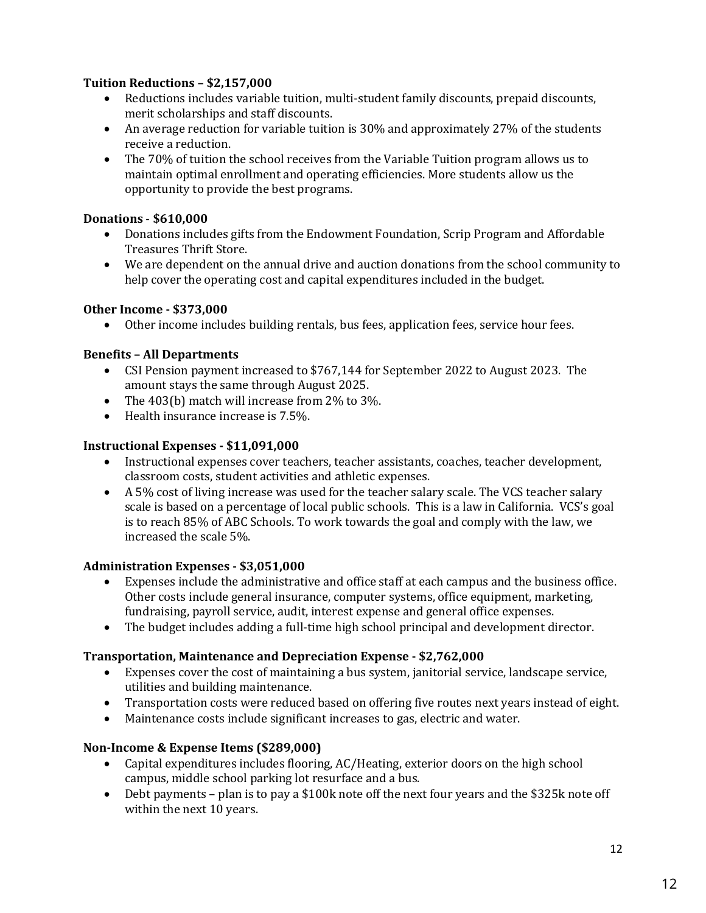## **Tuition Reductions – \$2,157,000**

- Reductions includes variable tuition, multi-student family discounts, prepaid discounts, merit scholarships and staff discounts.
- An average reduction for variable tuition is 30% and approximately 27% of the students receive a reduction.
- The 70% of tuition the school receives from the Variable Tuition program allows us to maintain optimal enrollment and operating efficiencies. More students allow us the opportunity to provide the best programs.

### **Donations** - **\$610,000**

- Donations includes gifts from the Endowment Foundation, Scrip Program and Affordable Treasures Thrift Store.
- We are dependent on the annual drive and auction donations from the school community to help cover the operating cost and capital expenditures included in the budget.

### **Other Income - \$373,000**

• Other income includes building rentals, bus fees, application fees, service hour fees.

## **Benefits – All Departments**

- CSI Pension payment increased to \$767,144 for September 2022 to August 2023. The amount stays the same through August 2025.
- The  $403(b)$  match will increase from  $2\%$  to  $3\%$ .
- $\bullet$  Health insurance increase is  $7.5\%$ .

## **Instructional Expenses - \$11,091,000**

- Instructional expenses cover teachers, teacher assistants, coaches, teacher development, classroom costs, student activities and athletic expenses.
- A  $5\%$  cost of living increase was used for the teacher salary scale. The VCS teacher salary scale is based on a percentage of local public schools. This is a law in California. VCS's goal is to reach  $85\%$  of ABC Schools. To work towards the goal and comply with the law, we increased the scale 5%.

### **Administration Expenses - \$3,051,000**

- Expenses include the administrative and office staff at each campus and the business office. Other costs include general insurance, computer systems, office equipment, marketing, fundraising, payroll service, audit, interest expense and general office expenses.
- The budget includes adding a full-time high school principal and development director.

# **Transportation, Maintenance and Depreciation Expense - \$2,762,000**

- Expenses cover the cost of maintaining a bus system, janitorial service, landscape service, utilities and building maintenance.
- Transportation costs were reduced based on offering five routes next years instead of eight.
- Maintenance costs include significant increases to gas, electric and water.

# **Non-Income & Expense Items (\$289,000)**

- Capital expenditures includes flooring, AC/Heating, exterior doors on the high school campus, middle school parking lot resurface and a bus.
- Debt payments plan is to pay a \$100k note off the next four years and the \$325k note off within the next 10 years.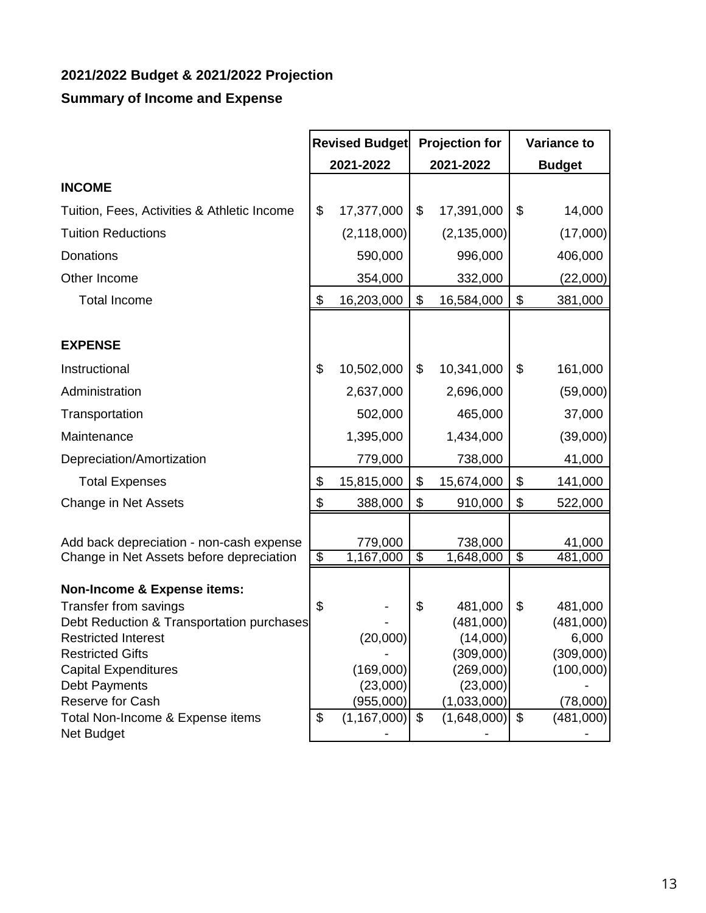# **2021/2022 Budget & 2021/2022 Projection**

# **Summary of Income and Expense**

|                                                       | <b>Revised Budget</b> |                      | <b>Projection for</b> |                       | <b>Variance to</b>       |                    |
|-------------------------------------------------------|-----------------------|----------------------|-----------------------|-----------------------|--------------------------|--------------------|
|                                                       | 2021-2022             |                      | 2021-2022             |                       |                          | <b>Budget</b>      |
| <b>INCOME</b>                                         |                       |                      |                       |                       |                          |                    |
| Tuition, Fees, Activities & Athletic Income           | \$                    | 17,377,000           | \$                    | 17,391,000            | \$                       | 14,000             |
| <b>Tuition Reductions</b>                             |                       | (2, 118, 000)        |                       | (2, 135, 000)         |                          | (17,000)           |
| <b>Donations</b>                                      |                       | 590,000              |                       | 996,000               |                          | 406,000            |
| Other Income                                          |                       | 354,000              |                       | 332,000               |                          | (22,000)           |
| <b>Total Income</b>                                   | \$                    | 16,203,000           | \$                    | 16,584,000            | \$                       | 381,000            |
|                                                       |                       |                      |                       |                       |                          |                    |
| <b>EXPENSE</b>                                        |                       |                      |                       |                       |                          |                    |
| Instructional                                         | \$                    | 10,502,000           | \$                    | 10,341,000            | \$                       | 161,000            |
| Administration                                        |                       | 2,637,000            |                       | 2,696,000             |                          | (59,000)           |
| Transportation                                        |                       | 502,000              |                       | 465,000               |                          | 37,000             |
| Maintenance                                           |                       | 1,395,000            |                       | 1,434,000             |                          | (39,000)           |
| Depreciation/Amortization                             |                       | 779,000              |                       | 738,000               |                          | 41,000             |
| <b>Total Expenses</b>                                 | \$                    | 15,815,000           | \$                    | 15,674,000            | \$                       | 141,000            |
| Change in Net Assets                                  | \$                    | 388,000              | \$                    | 910,000               | \$                       | 522,000            |
|                                                       |                       |                      |                       |                       |                          |                    |
| Add back depreciation - non-cash expense              | $\overline{\$}$       | 779,000<br>1,167,000 | $\overline{\$}$       | 738,000<br>1,648,000  | $\overline{\mathcal{G}}$ | 41,000<br>481,000  |
| Change in Net Assets before depreciation              |                       |                      |                       |                       |                          |                    |
| <b>Non-Income &amp; Expense items:</b>                |                       |                      |                       |                       |                          |                    |
| Transfer from savings                                 | \$                    |                      | \$                    | 481,000               | \$                       | 481,000            |
| Debt Reduction & Transportation purchases             |                       |                      |                       | (481,000)             |                          | (481,000)          |
| <b>Restricted Interest</b><br><b>Restricted Gifts</b> |                       | (20,000)             |                       | (14,000)<br>(309,000) |                          | 6,000<br>(309,000) |
| <b>Capital Expenditures</b>                           |                       | (169,000)            |                       | (269,000)             |                          | (100,000)          |
| <b>Debt Payments</b>                                  |                       | (23,000)             |                       | (23,000)              |                          |                    |
| Reserve for Cash                                      |                       | (955,000)            |                       | (1,033,000)           |                          | (78,000)           |
| Total Non-Income & Expense items                      | \$                    | $(1,167,000)$ \$     |                       | (1,648,000)           | \$                       | (481,000)          |
| Net Budget                                            |                       |                      |                       |                       |                          |                    |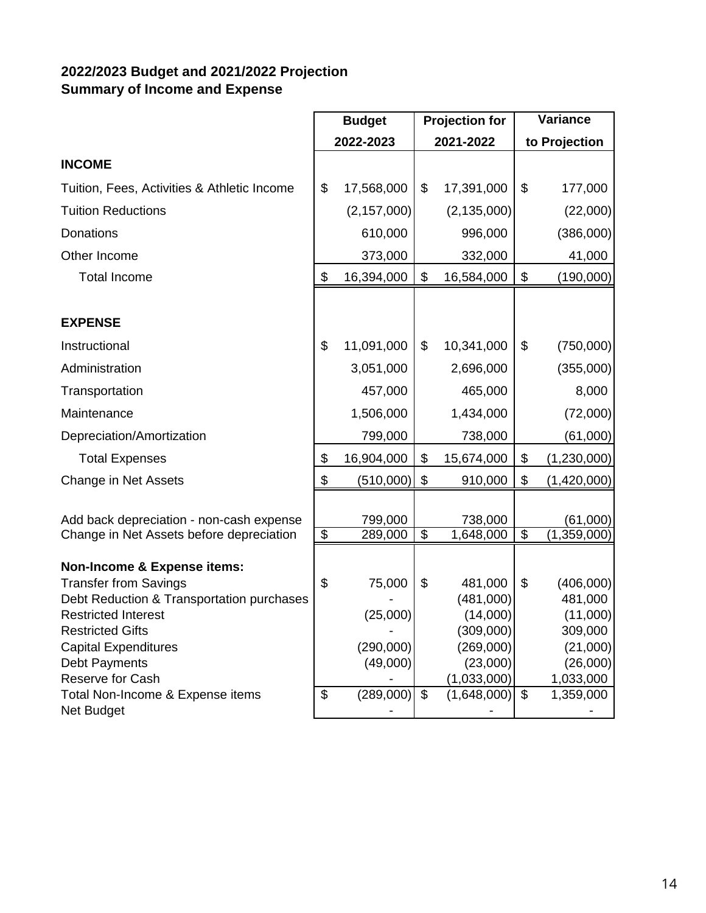# **2022/2023 Budget and 2021/2022 Projection Summary of Income and Expense**

|                                                                                                                                                                                                                                                                                             | <b>Budget</b>                                      |                                                          | <b>Projection for</b>           |                                                                                                      | Variance                  |                                                                                               |
|---------------------------------------------------------------------------------------------------------------------------------------------------------------------------------------------------------------------------------------------------------------------------------------------|----------------------------------------------------|----------------------------------------------------------|---------------------------------|------------------------------------------------------------------------------------------------------|---------------------------|-----------------------------------------------------------------------------------------------|
|                                                                                                                                                                                                                                                                                             | 2022-2023                                          |                                                          | 2021-2022                       |                                                                                                      | to Projection             |                                                                                               |
| <b>INCOME</b>                                                                                                                                                                                                                                                                               |                                                    |                                                          |                                 |                                                                                                      |                           |                                                                                               |
| Tuition, Fees, Activities & Athletic Income                                                                                                                                                                                                                                                 | \$                                                 | 17,568,000                                               | \$                              | 17,391,000                                                                                           | \$                        | 177,000                                                                                       |
| <b>Tuition Reductions</b>                                                                                                                                                                                                                                                                   |                                                    | (2, 157, 000)                                            |                                 | (2, 135, 000)                                                                                        |                           | (22,000)                                                                                      |
| <b>Donations</b>                                                                                                                                                                                                                                                                            |                                                    | 610,000                                                  |                                 | 996,000                                                                                              |                           | (386,000)                                                                                     |
| Other Income                                                                                                                                                                                                                                                                                |                                                    | 373,000                                                  |                                 | 332,000                                                                                              |                           | 41,000                                                                                        |
| <b>Total Income</b>                                                                                                                                                                                                                                                                         | \$                                                 | 16,394,000                                               | \$                              | 16,584,000                                                                                           | $\boldsymbol{\mathsf{S}}$ | (190,000)                                                                                     |
| <b>EXPENSE</b>                                                                                                                                                                                                                                                                              |                                                    |                                                          |                                 |                                                                                                      |                           |                                                                                               |
| Instructional                                                                                                                                                                                                                                                                               | $\mathfrak{S}$                                     | 11,091,000                                               | \$                              | 10,341,000                                                                                           | \$                        | (750,000)                                                                                     |
| Administration                                                                                                                                                                                                                                                                              |                                                    | 3,051,000                                                |                                 | 2,696,000                                                                                            |                           | (355,000)                                                                                     |
| Transportation                                                                                                                                                                                                                                                                              |                                                    | 457,000                                                  |                                 | 465,000                                                                                              |                           | 8,000                                                                                         |
| Maintenance                                                                                                                                                                                                                                                                                 |                                                    | 1,506,000                                                |                                 | 1,434,000                                                                                            |                           | (72,000)                                                                                      |
| Depreciation/Amortization                                                                                                                                                                                                                                                                   |                                                    | 799,000                                                  |                                 | 738,000                                                                                              |                           | (61,000)                                                                                      |
| <b>Total Expenses</b>                                                                                                                                                                                                                                                                       | \$                                                 | 16,904,000                                               | \$                              | 15,674,000                                                                                           | \$                        | (1,230,000)                                                                                   |
| Change in Net Assets                                                                                                                                                                                                                                                                        | \$                                                 | (510,000)                                                | $\boldsymbol{\mathsf{S}}$       | 910,000                                                                                              | \$                        | (1,420,000)                                                                                   |
| Add back depreciation - non-cash expense                                                                                                                                                                                                                                                    |                                                    | 799,000                                                  |                                 | 738,000                                                                                              |                           | (61,000)                                                                                      |
| Change in Net Assets before depreciation                                                                                                                                                                                                                                                    | $\overline{\$}$                                    | 289,000                                                  | $\overline{\mathcal{S}}$        | 1,648,000                                                                                            | $\overline{\$}$           | (1,359,000)                                                                                   |
| <b>Non-Income &amp; Expense items:</b><br><b>Transfer from Savings</b><br>Debt Reduction & Transportation purchases<br><b>Restricted Interest</b><br><b>Restricted Gifts</b><br><b>Capital Expenditures</b><br><b>Debt Payments</b><br>Reserve for Cash<br>Total Non-Income & Expense items | $\boldsymbol{\theta}$<br>$\boldsymbol{\mathsf{S}}$ | 75,000<br>(25,000)<br>(290,000)<br>(49,000)<br>(289,000) | \$<br>$\boldsymbol{\mathsf{S}}$ | 481,000<br>(481,000)<br>(14,000)<br>(309,000)<br>(269,000)<br>(23,000)<br>(1,033,000)<br>(1,648,000) | \$<br>$\sqrt{3}$          | (406,000)<br>481,000<br>(11,000)<br>309,000<br>(21,000)<br>(26,000)<br>1,033,000<br>1,359,000 |
| Net Budget                                                                                                                                                                                                                                                                                  |                                                    |                                                          |                                 |                                                                                                      |                           |                                                                                               |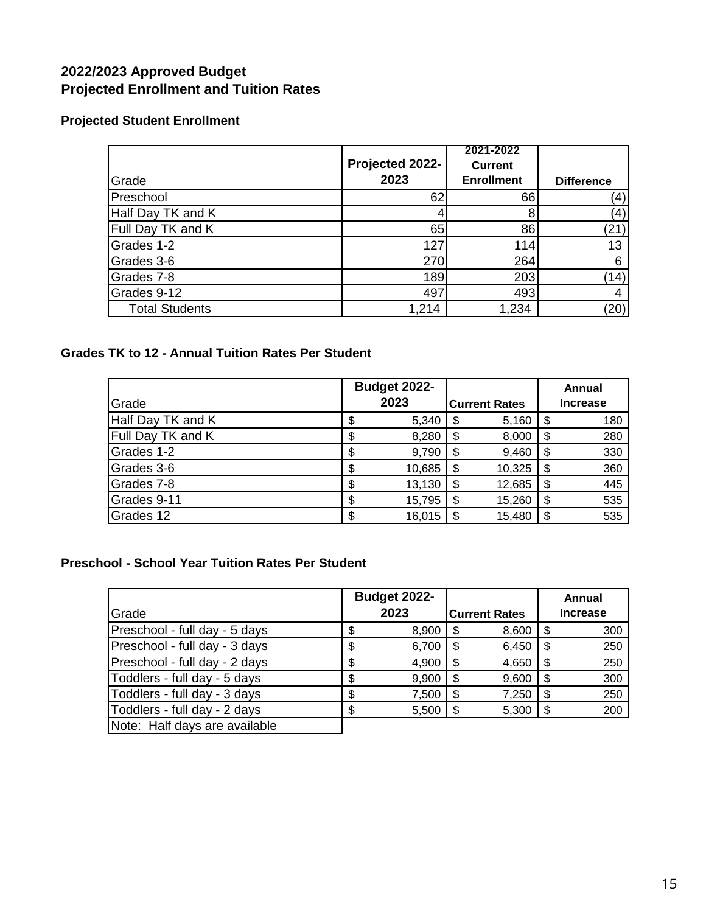# **2022/2023 Approved Budget Projected Enrollment and Tuition Rates**

# **Projected Student Enrollment**

|                       | Projected 2022- | 2021-2022<br><b>Current</b> |                   |
|-----------------------|-----------------|-----------------------------|-------------------|
| Grade                 | 2023            | <b>Enrollment</b>           | <b>Difference</b> |
| Preschool             | 62              | 66                          | (4)               |
| Half Day TK and K     |                 |                             | (4)               |
| Full Day TK and K     | 65              | 86                          | (21)              |
| Grades 1-2            | 127             | 114                         | 13                |
| Grades 3-6            | 270             | 264                         | 6                 |
| Grades 7-8            | 189             | 203                         | (14)              |
| Grades 9-12           | 497             | 493                         |                   |
| <b>Total Students</b> | 1,214           | 1,234                       | (20)              |

# **Grades TK to 12 - Annual Tuition Rates Per Student**

|                   | <b>Budget 2022-</b> |                      |    | Annual          |
|-------------------|---------------------|----------------------|----|-----------------|
| Grade             | 2023                | <b>Current Rates</b> |    | <b>Increase</b> |
| Half Day TK and K | 5,340               | \$<br>5,160          |    | 180             |
| Full Day TK and K | 8,280               | \$<br>8,000          |    | 280             |
| Grades 1-2        | 9,790               | \$<br>9,460          | S  | 330             |
| Grades 3-6        | \$<br>10,685        | \$<br>10,325         | S  | 360             |
| Grades 7-8        | \$<br>13,130        | \$<br>12,685         | \$ | 445             |
| Grades 9-11       | \$<br>15,795        | \$<br>15,260         | \$ | 535             |
| Grades 12         | 16,015              | \$<br>15,480         |    | 535             |

# **Preschool - School Year Tuition Rates Per Student**

| Grade                         | <b>Budget 2022-</b><br>2023 |     | <b>Current Rates</b> | Annual<br><b>Increase</b> |
|-------------------------------|-----------------------------|-----|----------------------|---------------------------|
| Preschool - full day - 5 days | 8,900                       | \$. | 8,600                | 300                       |
| Preschool - full day - 3 days | 6,700                       | \$  | 6,450                | 250                       |
| Preschool - full day - 2 days | 4,900                       | S   | 4,650                | 250                       |
| Toddlers - full day - 5 days  | 9,900                       | \$  | 9,600                | 300                       |
| Toddlers - full day - 3 days  | 7,500                       | \$  | 7,250                | 250                       |
| Toddlers - full day - 2 days  | 5,500                       | \$  | 5,300                | 200                       |
| Note: Half days are available |                             |     |                      |                           |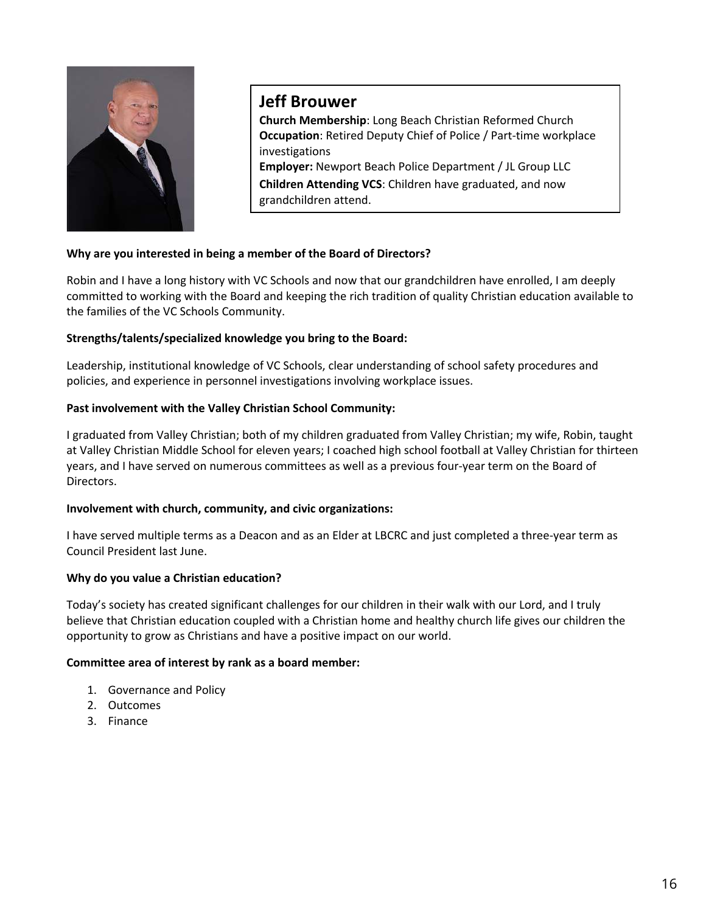

# **Jeff Brouwer**

**Church Membership**: Long Beach Christian Reformed Church **Occupation**: Retired Deputy Chief of Police / Part-time workplace investigations **Employer:** Newport Beach Police Department / JL Group LLC **Children Attending VCS**: Children have graduated, and now grandchildren attend.

### **Why are you interested in being a member of the Board of Directors?**

Robin and I have a long history with VC Schools and now that our grandchildren have enrolled, I am deeply committed to working with the Board and keeping the rich tradition of quality Christian education available to the families of the VC Schools Community.

### **Strengths/talents/specialized knowledge you bring to the Board:**

Leadership, institutional knowledge of VC Schools, clear understanding of school safety procedures and policies, and experience in personnel investigations involving workplace issues.

### **Past involvement with the Valley Christian School Community:**

I graduated from Valley Christian; both of my children graduated from Valley Christian; my wife, Robin, taught at Valley Christian Middle School for eleven years; I coached high school football at Valley Christian for thirteen years, and I have served on numerous committees as well as a previous four-year term on the Board of Directors.

### **Involvement with church, community, and civic organizations:**

I have served multiple terms as a Deacon and as an Elder at LBCRC and just completed a three-year term as Council President last June.

### **Why do you value a Christian education?**

Today's society has created significant challenges for our children in their walk with our Lord, and I truly believe that Christian education coupled with a Christian home and healthy church life gives our children the opportunity to grow as Christians and have a positive impact on our world.

### **Committee area of interest by rank as a board member:**

- 1. Governance and Policy
- 2. Outcomes
- 3. Finance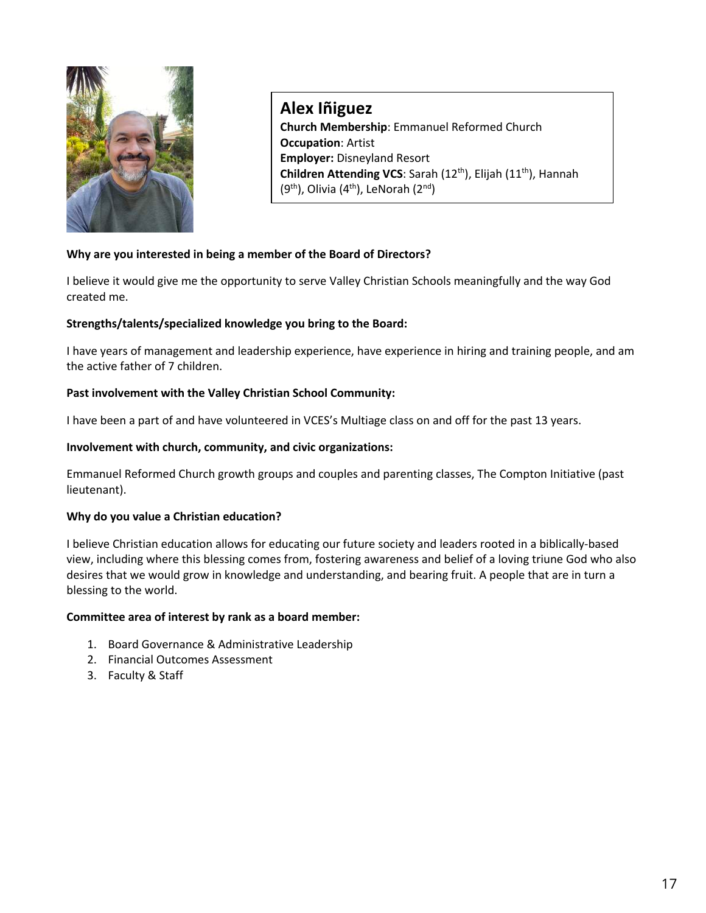

**Alex Iñiguez Church Membership**: Emmanuel Reformed Church **Occupation**: Artist **Employer:** Disneyland Resort **Children Attending VCS**: Sarah (12th), Elijah (11th), Hannah  $(9<sup>th</sup>)$ , Olivia  $(4<sup>th</sup>)$ , LeNorah  $(2<sup>nd</sup>)$ 

### **Why are you interested in being a member of the Board of Directors?**

I believe it would give me the opportunity to serve Valley Christian Schools meaningfully and the way God created me.

### **Strengths/talents/specialized knowledge you bring to the Board:**

I have years of management and leadership experience, have experience in hiring and training people, and am the active father of 7 children.

### **Past involvement with the Valley Christian School Community:**

I have been a part of and have volunteered in VCES's Multiage class on and off for the past 13 years.

#### **Involvement with church, community, and civic organizations:**

Emmanuel Reformed Church growth groups and couples and parenting classes, The Compton Initiative (past lieutenant).

### **Why do you value a Christian education?**

I believe Christian education allows for educating our future society and leaders rooted in a biblically-based view, including where this blessing comes from, fostering awareness and belief of a loving triune God who also desires that we would grow in knowledge and understanding, and bearing fruit. A people that are in turn a blessing to the world.

#### **Committee area of interest by rank as a board member:**

- 1. Board Governance & Administrative Leadership
- 2. Financial Outcomes Assessment
- 3. Faculty & Staff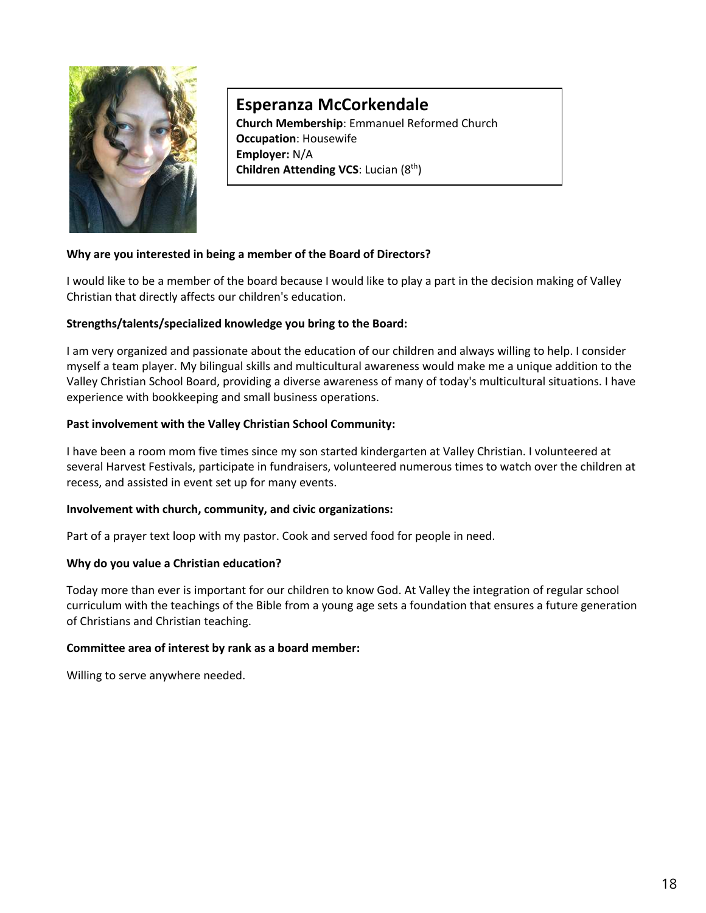

# **Esperanza McCorkendale**

**Church Membership**: Emmanuel Reformed Church **Occupation**: Housewife **Employer:** N/A **Children Attending VCS: Lucian (8<sup>th</sup>)** 

### **Why are you interested in being a member of the Board of Directors?**

I would like to be a member of the board because I would like to play a part in the decision making of Valley Christian that directly affects our children's education.

### **Strengths/talents/specialized knowledge you bring to the Board:**

I am very organized and passionate about the education of our children and always willing to help. I consider myself a team player. My bilingual skills and multicultural awareness would make me a unique addition to the Valley Christian School Board, providing a diverse awareness of many of today's multicultural situations. I have experience with bookkeeping and small business operations.

### **Past involvement with the Valley Christian School Community:**

I have been a room mom five times since my son started kindergarten at Valley Christian. I volunteered at several Harvest Festivals, participate in fundraisers, volunteered numerous times to watch over the children at recess, and assisted in event set up for many events.

### **Involvement with church, community, and civic organizations:**

Part of a prayer text loop with my pastor. Cook and served food for people in need.

### **Why do you value a Christian education?**

Today more than ever is important for our children to know God. At Valley the integration of regular school curriculum with the teachings of the Bible from a young age sets a foundation that ensures a future generation of Christians and Christian teaching.

### **Committee area of interest by rank as a board member:**

Willing to serve anywhere needed.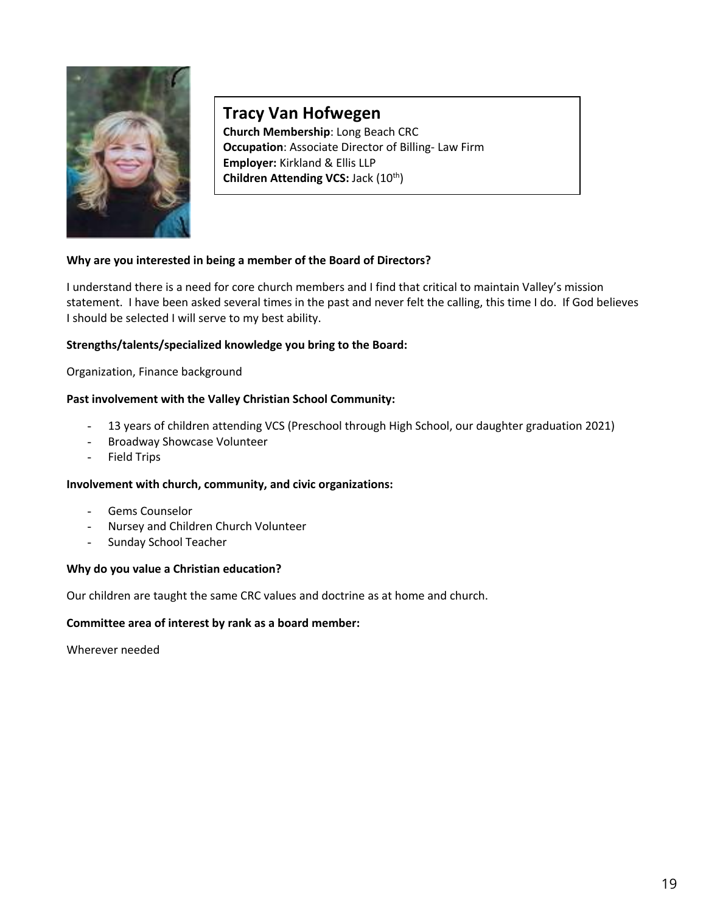

# **Tracy Van Hofwegen**

**Church Membership**: Long Beach CRC **Occupation**: Associate Director of Billing- Law Firm **Employer:** Kirkland & Ellis LLP **Children Attending VCS: Jack (10<sup>th</sup>)** 

### **Why are you interested in being a member of the Board of Directors?**

I understand there is a need for core church members and I find that critical to maintain Valley's mission statement. I have been asked several times in the past and never felt the calling, this time I do. If God believes I should be selected I will serve to my best ability.

### **Strengths/talents/specialized knowledge you bring to the Board:**

Organization, Finance background

### **Past involvement with the Valley Christian School Community:**

- 13 years of children attending VCS (Preschool through High School, our daughter graduation 2021)
- Broadway Showcase Volunteer
- Field Trips

### **Involvement with church, community, and civic organizations:**

- Gems Counselor
- Nursey and Children Church Volunteer
- Sunday School Teacher

### **Why do you value a Christian education?**

Our children are taught the same CRC values and doctrine as at home and church.

### **Committee area of interest by rank as a board member:**

Wherever needed